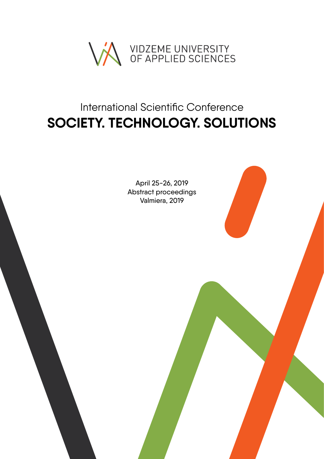

# International Scientific Conference **SOCIETY. TECHNOLOGY. SOLUTIONS**

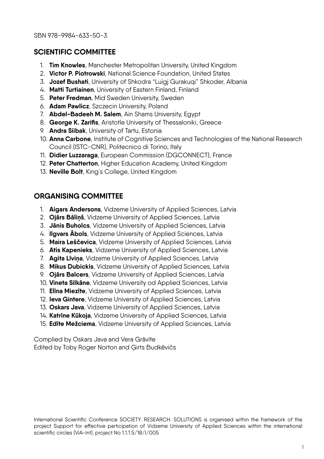# **SCIENTIFIC COMMITTEE**

- 1. **Tim Knowles**, Manchester Metropolitan University, United Kingdom
- 2. **Victor P. Piotrowski**, National Science Foundation, United States
- 3. **Jozef Bushati**, University of Shkodra "Luigj Gurakuqi" Shkoder, Albania
- 4. **Matti Turtiainen**, University of Eastern Finland, Finland
- 5. **Peter Fredman**, Mid Sweden University, Sweden
- 6. **Adam Pawlicz**, Szczecin University, Poland
- 7. **Abdel-Badeeh M. Salem**, Ain Shams University, Egypt
- 8. **George K. Zarifis**, Aristotle University of Thessaloniki, Greece
- 9. **Andra Siibak**, University of Tartu, Estonia
- 10. **Anna Carbone**, Institute of Cognitive Sciences and Technologies of the National Research Council (ISTC-CNR), Politecnico di Torino, Italy
- 11. **Didier Luzzaraga**, European Commission (DGCONNECT), France
- 12. **Peter Chatterton**, Higher Education Academy, United Kingdom
- 13. **Neville Bolt**, King`s College, United Kingdom

# **ORGANISING COMMITTEE**

- 1. **Aigars Andersons**, Vidzeme University of Applied Sciences, Latvia
- 2. **Ojārs Bāliņš**, Vidzeme University of Applied Sciences, Latvia
- 3. **Jānis Buholcs**, Vidzeme University of Applied Sciences, Latvia
- 4. **Ilgvars Ābols**, Vidzeme University of Applied Sciences, Latvia
- 5. **Maira Leščevica**, Vidzeme University of Applied Sciences, Latvia
- 6. **Atis Kapenieks**, Vidzeme University of Applied Sciences, Latvia
- 7. **Agita Līviņa**, Vidzeme University of Applied Sciences, Latvia
- 8. **Mikus Dubickis**, Vidzeme University of Applied Sciences, Latvia
- 9. **Ojārs Balcers**, Vidzeme University of Applied Sciences, Latvia
- 10. **Vineta Silkāne**, Vidzeme University od Applied Sciences, Latvia
- 11. **Elīna Miezīte**, Vidzeme University of Applied Sciences, Latvia
- 12. **Ieva Gintere**, Vidzeme University of Applied Sciences, Latvia
- 13. **Oskars Java**, Vidzeme University of Applied Sciences, Latvia
- 14. **Katrīne Kūkoja**, Vidzeme University of Applied Sciences, Latvia
- 15. **Edīte Mežciema**, Vidzeme University of Applied Sciences, Latvia

Complied by Oskars Java and Vera Grāvīte Edited by Toby Roger Norton and Ģirts Budkēvičs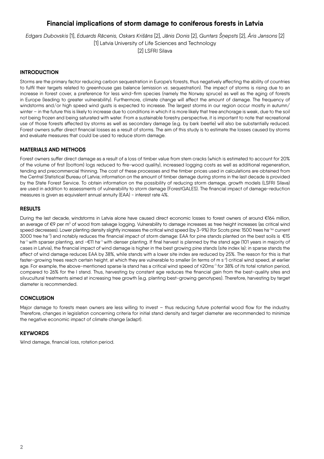### **Financial implications of storm damage to coniferous forests in Latvia**

*Edgars Dubovskis* [1], *Eduards Rācenis, Oskars Krišāns* [2], *Jānis Donis* [2], *Guntars Šņepsts* [2], *Āris Jansons* [2] [1] Latvia University of Life Sciences and Technology

[2] LSFRI Silava

#### **INTRODUCTION**

Storms are the primary factor reducing carbon sequestration in Europe's forests, thus negatively affecting the ability of countries to fulfil their targets related to greenhouse gas balance (emission *vs*. sequestration). The impact of storms is rising due to an increase in forest cover, a preference for less wind-firm species (namely the Norway spruce) as well as the aging of forests in Europe (leading to greater vulnerability). Furthermore, climate change will affect the amount of damage. The frequency of windstorms and/or high speed wind gusts is expected to increase. The largest storms in our region occur mostly in autumn/ winter – in the future this is likely to increase due to conditions in which it is more likely that tree anchorage is weak, due to the soil not being frozen and being saturated with water. From a sustainable forestry perspective, it is important to note that recreational use of those forests affected by storms as well as secondary damage (e.g. by bark beetle) will also be substantially reduced. Forest owners suffer direct financial losses as a result of storms. The aim of this study is to estimate the losses caused by storms and evaluate measures that could be used to reduce storm damage.

### **MATERIALS AND METHODS**

Forest owners suffer direct damage as a result of a loss of timber value from stem cracks (which is estimated to account for 20% of the volume of first (bottom) logs reduced to fire-wood quality), increased logging costs as well as additional regeneration, tending and precommercial thinning. The cost of these processes and the timber prices used in calculations are obtained from the Central Statistical Bureau of Latvia; information on the amount of timber damage during storms in the last decade is provided by the State Forest Service. To obtain information on the possibility of reducing storm damage, growth models (LSFRI Silava) are used in addition to assessments of vulnerability to storm damage (ForestGALES). The financial impact of damage-reduction measures is given as equivalent annual annuity (EAA) - interest rate 4%.

#### **RESULTS**

During the last decade, windstorms in Latvia alone have caused direct economic losses to forest owners of around €164 million, an average of €9 per m<sup>3</sup> of wood from salvage logging. Vulnerability to damage increases as tree height increases (as critical wind speed decreases). Lower planting density slightly increases the critical wind speed (by 3-9%) (for Scots pine: 1500 trees ha-1*vs* current 3000 tree ha<sup>-1</sup>) and notably reduces the financial impact of storm damage: EAA for pine stands planted on the best soils is €15 ha<sup>-1</sup> with sparser planting, and -€11 ha<sup>-1</sup> with denser planting. If final harvest is planned by the stand age (101 years in majority of cases in Latvia), the financial impact of wind damage is higher in the best growing pine stands (site index Ia): in sparse stands the affect of wind damage reduces EAA by 38%, while stands with a lower site index are reduced by 25%. The reason for this is that faster-growing trees reach certain height, at which they are vulnerable to smaller (in terms of m s<sup>-1</sup>) critical wind speed, at earlier age. For example, the above-mentioned sparse Ia stand has a critical wind speed of ≤20ms<sup>-1</sup> for 38% of its total rotation period. compared to 26% for the I stand. Thus, harvesting by constant age reduces the financial gain from the best-quality sites and silvucultural treatments aimed at increasing tree growth (e.g. planting best-growing genotypes). Therefore, harvesting by target diameter is recommended.

#### **CONCLUSION**

Major damage to forests mean owners are less willing to invest – thus reducing future potential wood flow for the industry. Therefore, changes in legislation concerning criteria for initial stand density and target diameter are recommended to minimize the negative economic impact of climate change (adapt).

#### **KEYWORDS**

Wind damage, financial loss, rotation period.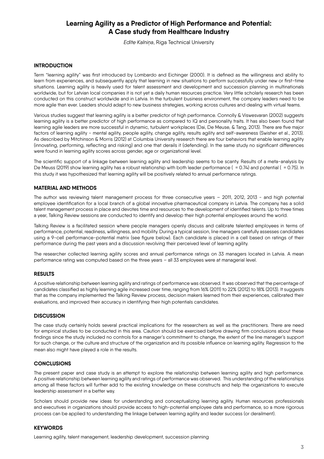# **Learning Agility as a Predictor of High Performance and Potential: A Case study from Healthcare Industry**

*Edīte Kalniņa*, Riga Technical University

#### **INTRODUCTION**

Term "learning agility" was first introduced by Lombardo and Eichinger (2000). It is defined as the willingness and ability to learn from experiences, and subsequently apply that learning in new situations to perform successfully under new or first-time situations. Learning agility is heavily used for talent assessment and development and succession planning in multinationals worldwide, but for Latvian local companies it is not yet a daily human resources practice. Very little scholarly research has been conducted on this construct worldwide and in Latvia. In the turbulent business environment, the company leaders need to be more agile than ever. Leaders should adapt to new business strategies, working across cultures and dealing with virtual teams.

Various studies suggest that learning agility is a better predictor of high performance. Connolly & Viswesvaran (2002) suggests learning agility is a better predictor of high performance as compared to IQ and personality traits. It has also been found that learning agile leaders are more successful in dynamic, turbulent workplaces (Dai, De Meuse, & Tang, 2013). There are five major factors of learning agility - mental agility, people agility, change agility, results agility and self-awareness (Swisher et al., 2013). As described by Mitchinson & Morris (2012) at Columbia University research there are four behaviors that enable learning agility (innovating, performing, reflecting and risking) and one that derails it (defending). In the same study no significant differences were found in learning agility scores across gender, age or organizational level.

The scientific support of a linkage between learning agility and leadership seems to be scanty. Results of a meta-analysis by De Meuss (2019) show learning agility has a robust relationship with both leader performance ( = 0.74) and potential ( = 0.75). In this study it was hypothesized that learning agility will be positively related to annual performance ratings.

#### **MATERIAL AND METHODS**

The author was reviewing talent management process for three consecutive years – 2011, 2012, 2013 - and high potential employee identification for a local branch of a global innovative pharmaceutical company in Latvia. The company has a solid talent management process in place and devotes time and resources to the development of identified talents. Up to three times a year, Talking Review sessions are conducted to identify and develop their high potential employees around the world.

Talking Review is a facilitated session where people managers openly discuss and calibrate talented employees in terms of performance, potential, readiness, willingness, and mobility. During a typical session, line managers carefully assesses candidates using a 9-cell performance-potential matrix (see figure below). Each candidate is placed in a cell based on ratings of their performance during the past years and a discussion revolving their perceived level of learning agility.

The researcher collected learning agility scores and annual performance ratings on 33 managers located in Latvia. A mean performance rating was computed based on the three years – all 33 employees were at managerial level.

#### **RESULTS**

A positive relationship between learning agility and ratings of performance was observed. It was observed that the percentage of candidates classified as highly learning agile increased over time, ranging from 16% (2011) to 22% (2012) to 18% (2013). It suggests that as the company implemented the Talking Review process, decision makers learned from their experiences, calibrated their evaluations, and improved their accuracy in identifying their high potentials candidates.

#### **DISCUSSION**

The case study certainly holds several practical implications for the researchers as well as the practitioners. There are need for empirical studies to be conducted in this area. Caution should be exercised before drawing firm conclusions about these findings since the study included no controls for a manager's commitment to change, the extent of the line manager's support for such change, or the culture and structure of the organization and its possible influence on learning agility. Regression to the mean also might have played a role in the results.

#### **CONCLUSIONS**

The present paper and case study is an attempt to explore the relationship between learning agility and high performance. A positive relationship between learning agility and ratings of performance was observed. This understanding of the relationships among all these factors will further add to the existing knowledge on these constructs and help the organizations to execute leadership assessment in a better way.

Scholars should provide new ideas for understanding and conceptualizing learning agility. Human resources professionals and executives in organizations should provide access to high-potential employee data and performance, so a more rigorous process can be applied to understanding the linkage between learning agility and leader success (or derailment).

#### **KEYWORDS**

Learning agility, talent management, leadership development, succession planning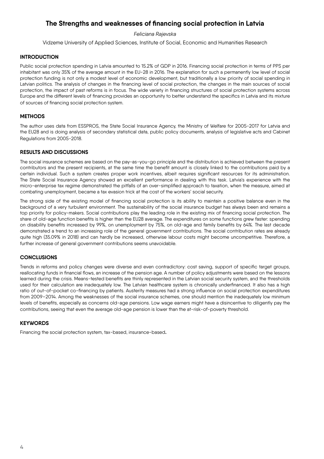# **The Strengths and weaknesses of financing social protection in Latvia**

*Feliciana Rajevska*

Vidzeme University of Applied Sciences, Institute of Social, Economic and Humanities Research

### **INTRODUCTION**

Public social protection spending in Latvia amounted to 15.2% of GDP in 2016. Financing social protection in terms of PPS per inhabitant was only 35% of the average amount in the EU-28 in 2016. The explanation for such a permanently low level of social protection funding is not only a modest level of economic development, but traditionally a low priority of social spending in Latvian politics. The analysis of changes in the financing level of social protection, the changes in the main sources of social protection, the impact of past reforms is in focus. The wide variety in financing structures of social protection systems across Europe and the different levels of financing provides an opportunity to better understand the specifics in Latvia and its mixture of sources of financing social protection system.

### **METHODS**

The author uses data from ESSPROS, the State Social Insurance Agency, the Ministry of Welfare for 2005-2017 for Latvia and the EU28 and is doing analysis of secondary statistical data, public policy documents, analysis of legislative acts and Cabinet Regulations from 2005-2018.

# **RESULTS AND DISCUSSIONS**

The social insurance schemes are based on the pay-as-you-go principle and the distribution is achieved between the present contributors and the present recipients, at the same time the benefit amount is closely linked to the contributions paid by a certain individual. Such a system creates proper work incentives, albeit requires significant resources for its administration. The State Social Insurance Agency showed an excellent performance in dealing with this task. Latvia's experience with the micro-enterprise tax regime demonstrated the pitfalls of an over-simplified approach to taxation, when the measure, aimed at combating unemployment, became a tax evasion trick at the cost of the workers' social security.

The strong side of the existing model of financing social protection is its ability to maintain a positive balance even in the background of a very turbulent environment. The sustainability of the social insurance budget has always been and remains a top priority for policy-makers. Social contributions play the leading role in the existing mix of financing social protection. The share of old-age function benefits is higher than the EU28 average. The expenditures on some functions grew faster: spending on disability benefits increased by 99%, on unemployment by 75%, on old-age and family benefits by 64%. The last decade demonstrated a trend to an increasing role of the general government contributions. The social contribution rates are already quite high (35.09% in 2018) and can hardly be increased, otherwise labour costs might become uncompetitive. Therefore, a further increase of general government contributions seems unavoidable.

# **CONCLUSIONS**

Trends in reforms and policy changes were diverse and even contradictory: cost saving, support of specific target groups, reallocating funds in financial flows, an increase of the pension age. A number of policy adjustments were based on the lessons learned during the crisis. Means-tested benefits are thinly represented in the Latvian social security system, and the thresholds used for their calculation are inadequately low. The Latvian healthcare system is chronically underfinanced. It also has a high ratio of out-of-pocket co-financing by patients. Austerity measures had a strong influence on social protection expenditures from 2009–2014. Among the weaknesses of the social insurance schemes, one should mention the inadequately low minimum levels of benefits, especially as concerns old-age pensions. Low wage earners might have a disincentive to diligently pay the contributions, seeing that even the average old-age pension is lower than the at-risk-of-poverty threshold.

# **KEYWORDS**

Financing the social protection system, tax-based, insurance-based**.**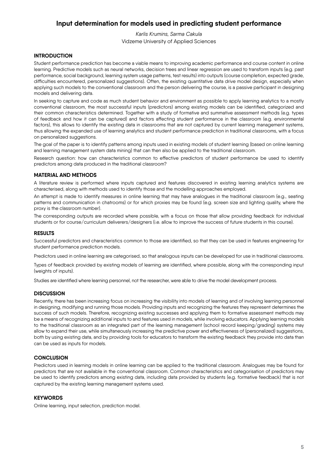# **Input determination for models used in predicting student performance**

*Karlis Krumins, Sarma Cakula* Vidzeme University of Applied Sciences

### **INTRODUCTION**

Student performance prediction has become a viable means to improving academic performance and course content in online learning. Predictive models such as neural networks, decision trees and linear regression are used to transform inputs (e.g. past performance, social background, learning system usage patterns, test results) into outputs (course completion, expected grade, difficulties encountered, personalized suggestions). Often, the existing quantitative data drive model design, especially when applying such models to the conventional classroom and the person delivering the course, is a passive participant in designing models and delivering data.

In seeking to capture and code as much student behavior and environment as possible to apply learning analytics to a mostly conventional classroom, the most successful inputs (predictors) among existing models can be identified, categorized and their common characteristics determined. Together with a study of formative and summative assessment methods (e.g. types of feedback and how it can be captured) and factors affecting student performance in the classroom (e.g. environmental factors), this allows to identify the existing data in classrooms that are not captured by current learning management systems, thus allowing the expanded use of learning analytics and student performance prediction in traditional classrooms, with a focus on personalized suggestions.

The goal of the paper is to identify patterns among inputs used in existing models of student learning (based on online learning and learning management system data mining) that can then also be applied to the traditional classroom.

Research question: how can characteristics common to effective predictors of student performance be used to identify predictors among data produced in the traditional classroom?

#### **MATERIAL AND METHODS**

A literature review is performed where inputs captured and features discovered in existing learning analytics systems are characterised, along with methods used to identify those and the modelling approaches employed.

An attempt is made to identify measures in online learning that may have analogues in the traditional classroom (e.g., seating patterns and communication in chatrooms) or for which proxies may be found (e.g. screen size and lighting quality, where the proxy is the classroom number).

The corresponding outputs are recorded where possible, with a focus on those that allow providing feedback for individual students or for course/curriculum deliverers/designers (i.e. allow to improve the success of future students in this course).

#### **RESULTS**

Successful predictors and characteristics common to those are identified, so that they can be used in features engineering for student performance prediction models.

Predictors used in online learning are categorised, so that analogous inputs can be developed for use in traditional classrooms.

Types of feedback provided by existing models of learning are identified, where possible, along with the corresponding input (weights of inputs).

Studies are identified where learning personnel, not the researcher, were able to drive the model development process.

#### **DISCUSSION**

Recently, there has been increasing focus on increasing the visibility into models of learning and of involving learning personnel in designing, modifying and running those models. Providing inputs and recognizing the features they represent determines the success of such models. Therefore, recognizing existing successes and applying them to formative assessment methods may be a means of recognizing additional inputs to and features used in models, while involving educators. Applying learning models to the traditional classroom as an integrated part of the learning management (school record keeping/grading) systems may allow to expand their use, while simultaneously increasing the predictive power and effectiveness of (personalized) suggestions, both by using existing data, and by providing tools for educators to transform the existing feedback they provide into data than can be used as inputs for models.

#### **CONCLUSION**

Predictors used in learning models in online learning can be applied to the traditional classroom. Analogues may be found for predictors that are not available in the conventional classroom. Common characteristics and categorisation of predictors may be used to identify predictors among existing data, including data provided by students (e.g. formative feedback) that is not captured by the existing learning management systems used.

#### **KEYWORDS**

Online learning, input selection, prediction model.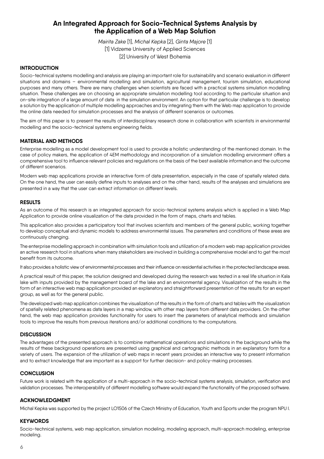# **An Integrated Approach for Socio-Technical Systems Analysis by the Application of a Web Map Solution**

*Mairita Zake* [1], *Michal Kepka* [2], *Ginta Majore* [1] [1] Vidzeme University of Applied Sciences [2] University of West Bohemia

### **INTRODUCTION**

Socio-technical systems modelling and analysis are playing an important role for sustainability and scenario evaluation in different situations and domains – environmental modelling and simulation, agricultural management, tourism simulation, educational purposes and many others. There are many challenges when scientists are faced with a practical systems simulation modelling situation. These challenges are on choosing an appropriate simulation modelling tool according to the particular situation and on-site integration of a large amount of data in the simulation environment. An option for that particular challenge is to develop a solution by the application of multiple modelling approaches and by integrating them with the Web map application to provide the online data needed for simulation processes and the analysis of different scenarios or outcomes.

The aim of this paper is to present the results of interdisciplinary research done in collaboration with scientists in environmental modelling and the socio-technical systems engineering fields.

#### **MATERIAL AND METHODS**

Enterprise modelling as a model development tool is used to provide a holistic understanding of the mentioned domain. In the case of policy makers, the application of 4EM methodology and incorporation of a simulation modelling environment offers a comprehensive tool to influence relevant policies and regulations on the basis of the best available information and the outcome of different scenarios.

Modern web map applications provide an interactive form of data presentation, especially in the case of spatially related data. On the one hand, the user can easily define inputs to analyses and on the other hand, results of the analyses and simulations are presented in a way that the user can extract information on different levels.

#### **RESULTS**

As an outcome of this research is an integrated approach for socio-technical systems analysis which is applied in a Web Map Application to provide online visualization of the data provided in the form of maps, charts and tables.

This application also provides a participatory tool that involves scientists and members of the general public, working together to develop conceptual and dynamic models to address environmental issues. The parameters and conditions of these areas are continuously changing.

The enterprise modelling approach in combination with simulation tools and utilization of a modern web map application provides an active research tool in situations when many stakeholders are involved in building a comprehensive model and to get the most benefit from its outcome.

It also provides a holistic view of environmental processes and their influence on residential activities in the protected landscape areas.

A practical result of this paper, the solution designed and developed during the research was tested in a real life situation in Kala lake with inputs provided by the management board of the lake and an environmental agency. Visualization of the results in the form of an interactive web map application provided an explanatory and straightforward presentation of the results for an expert group, as well as for the general public.

The developed web map application combines the visualization of the results in the form of charts and tables with the visualization of spatially related phenomena as data layers in a map window, with other map layers from different data providers. On the other hand, the web map application provides functionality for users to insert the parameters of analytical methods and simulation tools to improve the results from previous iterations and/or additional conditions to the computations.

### **DISCUSSION**

The advantages of the presented approach is to combine mathematical operations and simulations in the background while the results of these background operations are presented using graphical and cartographic methods in an explanatory form for a variety of users. The expansion of the utilization of web maps in recent years provides an interactive way to present information and to extract knowledge that are important as a support for further decision- and policy-making processes.

#### **CONCLUSION**

Future work is related with the application of a multi-approach in the socio-technical systems analysis, simulation, verification and validation processes. The interoperability of different modelling software would expand the functionality of the proposed software.

#### **ACKNOWLEDGMENT**

Michal Kepka was supported by the project LO1506 of the Czech Ministry of Education, Youth and Sports under the program NPU I.

#### **KEYWORDS**

Socio-technical systems, web map application, simulation modeling, modeling approach, multi-approach modeling, enterprise modeling.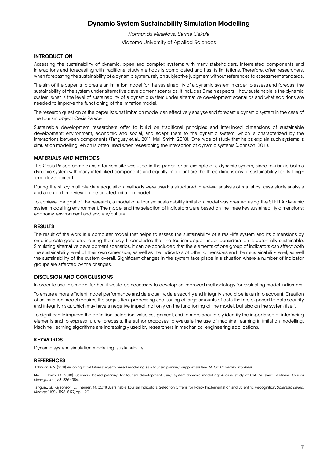# **Dynamic System Sustainability Simulation Modelling**

*Normunds Mihailovs, Sarma Cakula*

Vidzeme University of Applied Sciences

#### **INTRODUCTION**

Assessing the sustainability of dynamic, open and complex systems with many stakeholders, interrelated components and interactions and forecasting with traditional study methods is complicated and has its limitations. Therefore, often researchers, when forecasting the sustainability of a dynamic system, rely on subjective judgment without references to assessment standards.

The aim of the paper is to create an imitation model for the sustainability of a dynamic system in order to assess and forecast the sustainability of the system under alternative development scenarios. It includes 3 main aspects - how sustainable is the dynamic system, what is the level of sustainability of a dynamic system under alternative development scenarios and what additions are needed to improve the functioning of the imitation model.

The research question of the paper is: what imitation model can effectively analyse and forecast a dynamic system in the case of the tourism object Cesis Palace.

Sustainable development researchers offer to build on traditional principles and interlinked dimensions of sustainable development: environment, economic and social, and adapt them to the dynamic system, which is characterized by the interactions between components (Tanguay et.al., 2011; Mai, Smith, 2018). One type of study that helps explain such systems is simulation modelling, which is often used when researching the interaction of dynamic systems (Johnson, 2011).

#### **MATERIALS AND METHODS**

The Cesis Palace complex as a tourism site was used in the paper for an example of a dynamic system, since tourism is both a dynamic system with many interlinked components and equally important are the three dimensions of sustainability for its longterm development.

During the study, multiple data acquisition methods were used: a structured interview, analysis of statistics, case study analysis and an expert interview on the created imitation model.

To achieve the goal of the research, a model of a tourism sustainability imitation model was created using the STELLA dynamic system modelling environment. The model and the selection of indicators were based on the three key sustainability dimensions: economy, environment and society/culture.

#### **RESULTS**

The result of the work is a computer model that helps to assess the sustainability of a real-life system and its dimensions by entering data generated during the study. It concludes that the tourism object under consideration is potentially sustainable. Simulating alternative development scenarios, it can be concluded that the elements of one group of indicators can affect both the sustainability level of their own dimension, as well as the indicators of other dimensions and their sustainability level, as well the sustainability of the system overall. Significant changes in the system take place in a situation where a number of indicator groups are affected by the changes.

#### **DISCUSION AND CONCLUSIONS**

In order to use this model further, it would be necessary to develop an improved methodology for evaluating model indicators.

To ensure a more efficient model performance and data quality, data security and integrity should be taken into account. Creation of an imitation model requires the acquisition, processing and issuing of large amounts of data that are exposed to data security and integrity risks, which may have a negative impact, not only on the functioning of the model, but also on the system itself.

To significantly improve the definition, selection, value assignment, and to more accurately identify the importance of interfacing elements and to express future forecasts, the author proposes to evaluate the use of machine-learning in imitation modelling. Machine-learning algorithms are increasingly used by researchers in mechanical engineering applications.

#### **KEYWORDS**

Dynamic system, simulation modelling, sustainability

#### **REFERENCES**

Johnson, P.A. (2011) Visioning local futures: agent-based modelling as a tourism planning support system. *McGill University, Montreal.*

Mai, T., Smith, C. (2018). Scenario-based planning for tourism development using system dynamic modelling: A case study of Cat Ba Island, Vietnam. *Tourism Management, 68*, 336–354.

Tanguay, G., Rajaonson, J., Therrien, M. (2011) Sustainable Tourism Indicators: Selection Criteria for Policy Implementation and Scientific Recognition. *Scientific series, Montreal.* ISSN 1198-8177, pp 1-20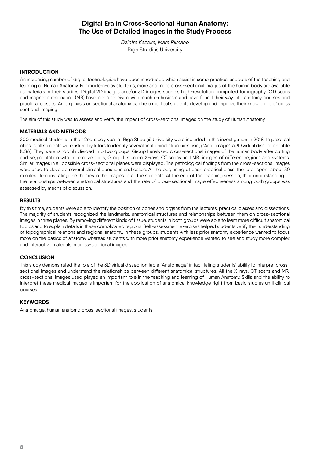# **Digital Era in Cross-Sectional Human Anatomy: The Use of Detailed Images in the Study Process**

*Dzintra Kazoka, Mara Pilmane*  Rīga Stradiņš University

#### **INTRODUCTION**

An increasing number of digital technologies have been introduced which assist in some practical aspects of the teaching and learning of Human Anatomy. For modern-day students, more and more cross-sectional images of the human body are available as materials in their studies. Digital 2D images and/or 3D images such as high-resolution computed tomography (CT) scans and magnetic resonance (MR) have been received with much enthusiasm and have found their way into anatomy courses and practical classes. An emphasis on sectional anatomy can help medical students develop and improve their knowledge of cross sectional imaging.

The aim of this study was to assess and verify the impact of cross-sectional images on the study of Human Anatomy.

#### **MATERIALS AND METHODS**

200 medical students in their 2nd study year at Rīga Stradiņš University were included in this investigation in 2018. In practical classes, all students were asked by tutors to identify several anatomical structures using "Anatomage", a 3D virtual dissection table (USA). They were randomly divided into two groups: Group I analysed cross-sectional images of the human body after cutting and segmentation with interactive tools; Group II studied X-rays, CT scans and MRI images of different regions and systems. Similar images in all possible cross-sectional planes were displayed. The pathological findings from the cross-sectional images were used to develop several clinical questions and cases. At the beginning of each practical class, the tutor spent about 30 minutes demonstrating the themes in the images to all the students. At the end of the teaching session, their understanding of the relationships between anatomical structures and the rate of cross-sectional image effectiveness among both groups was assessed by means of discussion.

#### **RESULTS**

By this time, students were able to identify the position of bones and organs from the lectures, practical classes and dissections. The majority of students recognized the landmarks, anatomical structures and relationships between them on cross-sectional images in three planes. By removing different kinds of tissue, students in both groups were able to learn more difficult anatomical topics and to explain details in these complicated regions. Self-assessment exercises helped students verify their understanding of topographical relations and regional anatomy. In these groups, students with less prior anatomy experience wanted to focus more on the basics of anatomy whereas students with more prior anatomy experience wanted to see and study more complex and interactive materials in cross-sectional images.

#### **CONCLUSION**

This study demonstrated the role of the 3D virtual dissection table "Anatomage" in facilitating students' ability to interpret crosssectional images and understand the relationships between different anatomical structures. All the X-rays, CT scans and MRI cross-sectional images used played an important role in the teaching and learning of Human Anatomy. Skills and the ability to interpret these medical images is important for the application of anatomical knowledge right from basic studies until clinical courses.

#### **KEYWORDS**

Anatomage, human anatomy, cross-sectional images, students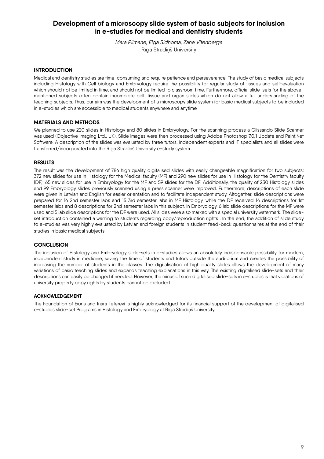# **Development of a microscopy slide system of basic subjects for inclusion in e-studies for medical and dentistry students**

*Mara Pilmane, Elga Sidhoma, Zane Vitenberga* Rīga Stradiņš University

#### **INTRODUCTION**

Medical and dentistry studies are time-consuming and require patience and perseverance. The study of basic medical subjects including Histology with Cell biology and Embryology require the possibility for regular study of tissues and self-evaluation which should not be limited in time, and should not be limited to classroom time. Furthermore, official slide-sets for the abovementioned subjects often contain incomplete cell, tissue and organ slides which do not allow a full understanding of the teaching subjects. Thus, our aim was the development of a microscopy slide system for basic medical subjects to be included in e-studies which are accessible to medical students anywhere and anytime

### **MATERIALS AND METHODS**

We planned to use 220 slides in Histology and 80 slides in Embryology. For the scanning process a Glissando Slide Scanner was used (Objective Imaging Ltd., UK). Slide images were then processed using Adobe Photoshop 7.0.1 Update and Paint.Net Software. A description of the slides was evaluated by three tutors, independent experts and IT specialists and all slides were transferred/incorporated into the Riga Stradiņš University e-study system.

#### **RESULTS**

The result was the development of 786 high quality digitalised slides with easily changeable magnification for two subjects: 372 new slides for use in Histology for the Medical faculty (MF) and 290 new slides for use in Histology for the Dentistry faculty (DF); 65 new slides for use in Embryology for the MF and 59 slides for the DF. Additionally, the quality of 230 Histology slides and 99 Embryology slides previously scanned using a press scanner were improved. Furthermore, descriptions of each slide were given in Latvian and English for easier orientation and to facilitate independent study. Altogether, slide descriptions were prepared for 16 2nd semester labs and 15 3rd semester labs in MF Histology, while the DF received 14 descriptions for 1st semester labs and 8 descriptions for 2nd semester labs in this subject. In Embryology, 6 lab slide descriptions for the MF were used and 5 lab slide descriptions for the DF were used. All slides were also marked with a special university watermark. The slideset introduction contained a warning to students regarding copy/reproduction rights . In the end, the addition of slide study to e-studies was very highly evaluated by Latvian and foreign students in student feed-back questionnaires at the end of their studies in basic medical subjects.

#### **CONCLUSION**

The inclusion of Histology and Embryology slide-sets in e-studies allows an absolutely indispensable possibility for modern, independent study in medicine, saving the time of students and tutors outside the auditorium and creates the possibility of increasing the number of students in the classes. The digitalisation of high quality slides allows the development of many variations of basic teaching slides and expands teaching explanations in this way. The existing digitalised slide-sets and their descriptions can easily be changed if needed. However, the minus of such digitalised slide-sets in e-studies is that violations of university property copy rights by students cannot be excluded.

#### **ACKNOWLEDGEMENT**

The Foundation of Boris and Inara Teterevi is highly acknowledged for its financial support of the development of digitalised e-studies slide-set Programs in Histology and Embryology at Riga Stradiņš University.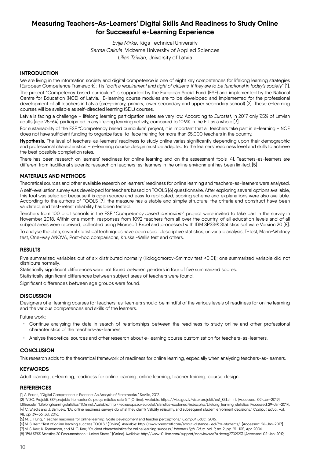# **Measuring Teachers-As-Learners' Digital Skills And Readiness to Study Online for Successful e-Learning Experience**

*Evija Mirke*, Riga Technical University *Sarma Cakula*, Vidzeme University of Applied Sciences *Lilian Tzivian*, University of Latvia

#### **INTRODUCTION**

We are living in the information society and digital competence is one of eight key competences for lifelong learning strategies (European Competence Framework); it is "*both a requirement and right of citizens, if they are to be functional in today's society*" [1].

The project "Competency based curriculum" is supported by the European Social Fund (ESF) and implemented by the National Centre for Education (NCE) of Latvia. E-learning course modules are to be developed and implemented for the professional development of all teachers in Latvia (pre-primary, primary, lower secondary and upper secondary school) [2]. These e-learning courses will be available as self-directed learning (SDL) courses.

Latvia is facing a challenge – lifelong learning participation rates are very low. According to *Eurostat*, in 2017 only 7.5% of Latvian adults (age 25-64) participated in any lifelong learning activity, compared to 10.9% in the EU as a whole [3].

For sustainability of the ESF "Competency based curriculum" project, it is important that all teachers take part in e-learning - NCE does not have sufficient funding to organize face-to-face training for more than 35,000 teachers in the country.

**Hypothesis.** The level of teachers-as-learners' readiness to study online varies significantly depending upon their demographic and professional characteristics – e-learning course design must be adapted to the learners' readiness level and skills to achieve the best possible completion rates.

There has been research on learners' readiness for online learning and on the assessment tools [4]. Teachers-as-learners are different from traditional students; research on teachers-as-learners in the online environment has been limited. [5]

#### **MATERIALS AND METHODS**

Theoretical sources and other available research on learners' readiness for online learning and teachers-as-learners were analysed.

A self-evaluation survey was developed for teachers based on TOOLS [6] questionnaire. After exploring several options available, this tool was selected because it is open source and easy to replicated, scoring scheme and explanations were also available. According to the authors of TOOLS [7], the measure has a stable and simple structure, the criteria and construct have been validated, and test-retest reliability has been tested.

Teachers from 100 pilot schools in the ESF "*Competency based curriculum*" project were invited to take part in the survey in November 2018. Within one month, responses from 1092 teachers from all over the country, of all education levels and of all subject areas were received, collected using Microsoft Excel and processed with IBM SPSS® Statistics software Version 20 [8].

To analyse the data, several statistical techniques have been used: descriptive statistics, univariate analysis, T-test, Mann-Whitney test, One-way ANOVA, Post-hoc comparisons, Kruskal-Wallis test and others.

#### **RESULTS**

Five summarized variables out of six distributed normally (Kologomorov-Smirnov test <0.01); one summarized variable did not distribute normally.

Statistically significant differences were not found between genders in four of five summarized scores.

Statistically significant differences between subject areas of teachers were found.

Significant differences between age groups were found.

#### **DISCUSSION**

Designers of e-learning courses for teachers-as-learners should be mindful of the various levels of readiness for online learning and the various competences and skills of the learners.

Future work:

- Continue analysing the data in search of relationships between the readiness to study online and other professional characteristics of the teachers-as-learners;
- Analyse theoretical sources and other research about e-learning course customisation for teachers-as-learners.

#### **CONCLUSION**

This research adds to the theoretical framework of readiness for online learning, especially when analysing teachers-as-learners.

#### **KEYWORDS**

Adult learning, e-learning, readiness for online learning, online learning, teacher training, course design.

#### **REFERENCES**

[1] A. Ferrari, "Digital Competence in Practice: An Analysis of Frameworks," Seville, 2012.

[2] "VISC. Projekti. ESF projekts 'Kompetenču pieeja mācību saturā.'" [Online]. Available: https://visc.gov.lv/visc/projekti/esf\_831.shtml. [Accessed: 02-Jan-2019]. [3] Eurostat, "Lifelong learning statistics." [Online]. Available: http://ec.europa.eu/eurostat/statistics-explained/index.php/Lifelong\_learning\_statistics. [Accessed: 29-Jan-2017]. [4] C. Wladis and J. Samuels, "Do online readiness surveys do what they claim? Validity, reliability, and subsequent student enrollment decisions," *Comput. Educ.*, vol. 98, pp. 39–56, Jul. 2016.

[5] M. L. Hung, "Teacher readiness for online learning: Scale development and teacher perceptions," *Comput. Educ.*, 2016.

[6] M. S. Kerr, "Test of online learning success TOOLS." [Online]. Available: http://www.txwescetl.com/about-distance- ed/for-students/. [Accessed: 26-Jan-2017].

[7] M. S. Kerr, K. Rynearson, and M. C. Kerr, "Student characteristics for online learning success," *Internet High. Educ.*, vol. 9, no. 2, pp. 91–105, Apr. 2006.

[8] "IBM SPSS Statistics 20 Documentation - United States." [Online]. Available: http://www-01.ibm.com/support/docview.wss?uid=swg27021213. [Accessed: 02-Jan-2019].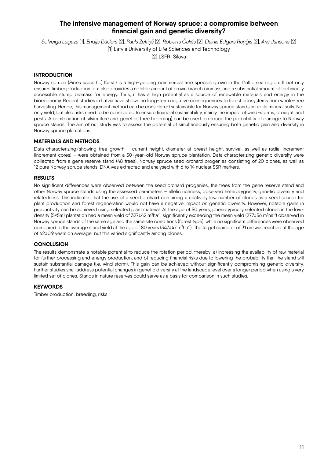### **The intensive management of Norway spruce: a compromise between financial gain and genetic diversity?**

*Solveiga Luguza* [1], *Endijs Bāders* [2], *Pauls Zeltiņš* [2], *Roberts Čakšs* [2], *Dainis Edgars Ruņģis* [2], *Āris Jansons* [2] [1] Latvia University of Life Sciences and Technology

[2] LSFRI Silava

### **INTRODUCTION**

Norway spruce (*Picea abies* (L.) Karst.) is a high-yielding commercial tree species grown in the Baltic sea region. It not only ensures timber production, but also provides a notable amount of crown branch biomass and a substantial amount of technically accessible stump biomass for energy. Thus, it has a high potential as a source of renewable materials and energy in the bioeconomy. Recent studies in Latvia have shown no long-term negative consequences to forest ecosystems from whole-tree harvesting. Hence, this management method can be considered sustainable for Norway spruce stands in fertile mineral soils. Not only yield, but also risks need to be considered to ensure financial sustainability, mainly the impact of wind-storms, drought, and pests. A combination of silviculture and genetics (tree breeding) can be used to reduce the probability of damage to Norway spruce stands. The aim of our study was to assess the potential of simultaneously ensuring both genetic gain and diversity in Norway spruce plantations.

#### **MATERIALS AND METHODS**

Data characterizing/showing tree growth – current height, diameter at breast height, survival, as well as radial increment (increment cores) – were obtained from a 50-year-old Norway spruce plantation. Data characterizing genetic diversity were collected from a gene reserve stand (48 trees), Norway spruce seed orchard progenies consisting of 20 clones, as well as 12 pure Norway spruce stands. DNA was extracted and analysed with 6 to 14 nuclear SSR markers.

#### **RESULTS**

No significant differences were observed between the seed orchard progenies, the trees from the gene reserve stand and other Norway spruce stands using the assessed parameters – allelic richness, observed heterozygosity, genetic diversity and relatedness. This indicates that the use of a seed orchard containing a relatively low number of clones as a seed source for plant production and forest regeneration would not have a negative impact on genetic diversity. However, notable gains in productivity can be achieved using selected plant material. At the age of 50 years, phenotypically selected clones in the lowdensity (5×5m) plantation had a mean yield of 327±42 m<sup>3</sup>ha<sup>-1</sup>, significantly exceeding the mean yield (277±56 m<sup>3</sup>ha<sup>-1</sup>) observed in Norway spruce stands of the same age and the same site conditions (forest type), while no significant differences were observed compared to the average stand yield at the age of 80 years (347±47 m $^3$ ha $^{-1}$ ). The target diameter of 31 cm was reached at the age of 42±0.9 years on average, but this varied significantly among clones.

### **CONCLUSION**

The results demonstrate a notable potential to reduce the rotation period, thereby: a) increasing the availability of raw material for further processing and energy production, and b) reducing financial risks due to lowering the probability that the stand will sustain substantial damage (i.e. wind storm). This gain can be achieved without significantly compromising genetic diversity. Further studies shall address potential changes in genetic diversity at the landscape level over a longer period when using a very limited set of clones. Stands in nature reserves could serve as a basis for comparison in such studies.

#### **KEYWORDS**

Timber production, breeding, risks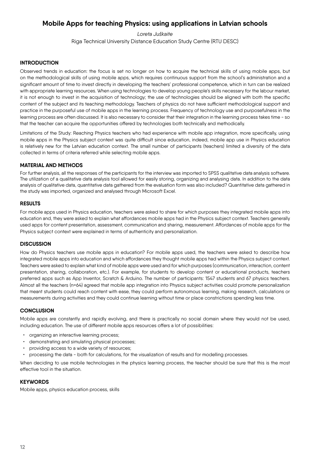# **Mobile Apps for teaching Physics: using applications in Latvian schools**

*Loreta Juškaite*

Riga Technical University Distance Education Study Centre (RTU DESC)

#### **INTRODUCTION**

Observed trends in education: the focus is set no longer on how to acquire the technical skills of using mobile apps, but on the methodological skills of using mobile apps, which requires continuous support from the school's administration and a significant amount of time to invest directly in developing the teachers' professional competence, which in turn can be realized with appropriate learning resources. When using technologies to develop young people's skills necessary for the labour market, it is not enough to invest in the acquisition of technology; the use of technologies should be aligned with both the specific content of the subject and its teaching methodology. Teachers of physics do not have sufficient methodological support and practice in the purposeful use of mobile apps in the learning process. Frequency of technology use and purposefulness in the learning process are often discussed. It is also necessary to consider that their integration in the learning process takes time - so that the teacher can acquire the opportunities offered by technologies both technically and methodically.

Limitations of the Study: Reaching Physics teachers who had experience with mobile app integration, more specifically, using mobile apps in the Physics subject context was quite difficult since education, indeed, mobile app use in Physics education is relatively new for the Latvian education context. The small number of participants (teachers) limited a diversity of the data collected in terms of criteria referred while selecting mobile apps.

#### **MATERIAL AND METHODS**

For further analysis, all the responses of the participants for the interview was imported to SPSS qualitative data analysis software. The utilization of a qualitative data analysis tool allowed for easily storing, organizing and analysing data. In addition to the data analysis of qualitative data, quantitative data gathered from the evaluation form was also included? Quantitative data gathered in the study was imported, organized and analysed through Microsoft Excel.

#### **RESULTS**

For mobile apps used in Physics education, teachers were asked to share for which purposes they integrated mobile apps into education and, they were asked to explain what affordances mobile apps had in the Physics subject context. Teachers generally used apps for content presentation, assessment, communication and sharing, measurement. Affordances of mobile apps for the Physics subject context were explained in terms of authenticity and personalization.

#### **DISCUSSION**

How do Physics teachers use mobile apps in education? For mobile apps used, the teachers were asked to describe how integrated mobile apps into education and which affordances they thought mobile apps had within the Physics subject context. Teachers were asked to explain what kind of mobile apps were used and for which purposes (communication, interaction, content presentation, sharing, collaboration, etc.). For example, for students to develop content or educational products, teachers preferred apps such as App Inventor, Scratch & Arduino. The number of participants: 1547 students and 67 physics teachers. Almost all the teachers (n=64) agreed that mobile app integration into Physics subject activities could promote personalization that meant students could reach content with ease, they could perform autonomous learning, making research, calculations or measurements during activities and they could continue learning without time or place constrictions spending less time.

#### **CONCLUSION**

Mobile apps are constantly and rapidly evolving, and there is practically no social domain where they would not be used, including education. The use of different mobile apps resources offers a lot of possibilities:

- organizing an interactive learning process;
- demonstrating and simulating physical processes;
- providing access to a wide variety of resources;
- processing the data both for calculations, for the visualization of results and for modelling processes.

When deciding to use mobile technologies in the physics learning process, the teacher should be sure that this is the most effective tool in the situation.

#### **KEYWORDS**

Mobile apps, physics education process, skills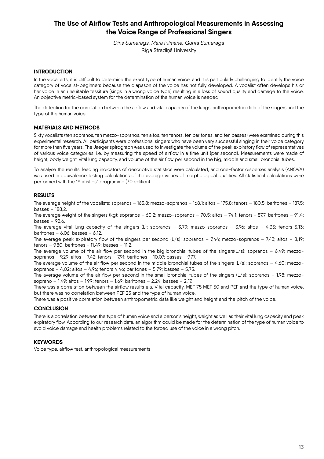# **The Use of Airflow Tests and Anthropological Measurements in Assessing the Voice Range of Professional Singers**

*Dins Sumerags, Mara Pilmane, Gunta Sumeraga* Rīga Stradiņš University

#### **INTRODUCTION**

In the vocal arts, it is difficult to determine the exact type of human voice, and it is particularly challenging to identify the voice category of vocalist-beginners because the diapason of the voice has not fully developed. A vocalist often develops his or her voice in an unsuitable tessitura (sings in a wrong voice type) resulting in a loss of sound quality and damage to the voice. An objective metric-based system for the determination of the human voice is needed.

The detection for the correlation between the airflow and vital capacity of the lungs, anthropometric data of the singers and the type of the human voice.

#### **MATERIALS AND METHODS**

Sixty vocalists (ten sopranos, ten mezzo-sopranos, ten altos, ten tenors, ten baritones, and ten basses) were examined during this experimental research. All participants were professional singers who have been very successful singing in their voice category for more than five years. The Jaeger spirograph was used to investigate the volume of the peak expiratory flow of representatives of various voice categories, i.e. by measuring the speed of airflow in a time unit (per second). Measurements were made of height, body weight, vital lung capacity, and volume of the air flow per second in the big, middle and small bronchial tubes.

To analyse the results, leading indicators of descriptive statistics were calculated, and one-factor disperses analysis (ANOVA) was used in equivalence testing calculations of the average values of morphological qualities. All statistical calculations were performed with the "Statistics" programme (7.0 edition).

#### **RESULTS**

The average height of the vocalists: sopranos – 165,8; mezzo-sopranos – 168,1; altos – 175,8; tenors – 180,5; baritones – 187,5; basses – 188,2.

The average weight of the singers (kg): sopranos – 60,2; mezzo-sopranos – 70,5; altos – 74,1; tenors - 87,7; baritones – 91,4; basses  $-92,6$ .

The average vital lung capacity of the singers (L): sopranos – 3,79; mezzo-sopranos – 3,96; altos – 4,35; tenors 5,13; baritones –  $6,06$ ; basses –  $6,12$ .

The average peak expiratory flow of the singers per second  $(L/s)$ : sopranos – 7,44; mezzo-sopranos – 7,43; altos – 8,19;  $tensors - 9,80$ ; baritones - 11,49; basses - 11,2.

The average volume of the air flow per second in the big bronchial tubes of the singers( $L/s$ ): sopranos – 6,49; mezzosopranos – 9,29; altos – 7,42; tenors – 7,91; baritones – 10,07; basses – 9,77.

The average volume of the air flow per second in the middle bronchial tubes of the singers  $(L/s)$ : sopranos  $-4,60$ ; mezzosopranos – 4,02; altos – 4,96; tenors 4,46; baritones – 5,79; basses – 5,73.

The average volume of the air flow per second in the small bronchial tubes of the singers  $(L/s)$ : sopranos  $-1,98$ ; mezzosoprano – 1,49; altos – 1,99; tenors – 1,69; baritones – 2,24; basses – 2,17.

There was a correlation between the airflow results e.a. Vital capacity, MEF 75 MEF 50 and PEF and the type of human voice, but there was no correlation between PEF 25 and the type of human voice.

There was a positive correlation between anthropometric data like weight and height and the pitch of the voice.

#### **CONCLUSION**

There is a correlation between the type of human voice and a person's height, weight as well as their vital lung capacity and peak expiratory flow. According to our research data, an algorithm could be made for the determination of the type of human voice to avoid voice damage and health problems related to the forced use of the voice in a wrong pitch.

#### **KEYWORDS**

Voice type, airflow test, anthropological measurements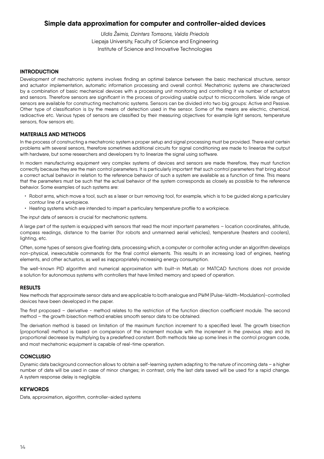### **Simple data approximation for computer and controller-aided devices**

*Uldis Žaimis, Dzintars Tomsons, Valdis Priedols* Liepaja University, Faculty of Science and Engineering Institute of Science and Innovative Technologies

#### **INTRODUCTION**

Development of mechatronic systems involves finding an optimal balance between the basic mechanical structure, sensor and actuator implementation, automatic information processing and overall control. Mechatronic systems are characterized by a combination of basic mechanical devices with a processing unit monitoring and controlling it via number of actuators and sensors. Therefore sensors are significant in the process of providing usable output to microcontrollers. Wide range of sensors are available for constructing mechatronic systems. Sensors can be divided into two big groups: Active and Passive. Other type of classification is by the means of detection used in the sensor. Some of the means are electric, chemical, radioactive etc. Various types of sensors are classified by their measuring objectives for example light sensors, temperature sensors, flow sensors etc.

### **MATERIALS AND METHODS**

In the process of constructing a mechatronic system a proper setup and signal processing must be provided. There exist certain problems with several sensors, therefore sometimes additional circuits for signal conditioning are made to linearize the output with hardware, but some researchers and developers try to linearize the signal using software.

In modern manufacturing equipment very complex systems of devices and sensors are made therefore, they must function correctly because they are the main control parameters. It is particularly important that such control parameters that bring about a correct actual behavior in relation to the reference behavior of such a system are available as a function of time. This means that the parameters must be such that the actual behavior of the system corresponds as closely as possible to the reference behavior. Some examples of such systems are:

- Robot arms, which move a tool, such as a laser or burr removing tool, for example, which is to be guided along a particulary contour line of a workpiece.
- Heating systems which are intended to impart a particulary temperature profile to a workpiece.

The input data of sensors is crucial for mechatronic systems.

A large part of the system is equipped with sensors that read the most important parameters – location coordinates, altitude, compass readings, distance to the barrier (for robots and unmanned aerial vehicles), temperature (heaters and coolers), lighting, etc.

Often, some types of sensors give floating data, processing which, a computer or controller acting under an algorithm develops non-physical, inexecutable commands for the final control elements. This results in an increasing load of engines, heating elements, and other actuators, as well as inappropriately increasing energy consumption.

The well-known PID algorithm and numerical approximation with built-in MatLab or MATCAD functions does not provide a solution for autonomous systems with controllers that have limited memory and speed of operation.

#### **RESULTS**

New methods that approximate sensor data and are applicable to both analogue and PWM (Pulse-Width-Modulation)-controlled devices have been developed in the paper.

The first proposed – derivative - method relates to the restriction of the function direction coefficient module. The second method – the growth bisection method enables smooth sensor data to be obtained.

The derivation method is based on limitation of the maximum function increment to a specified level. The growth bisection (proportional) method is based on comparison of the increment module with the increment in the previous step and its proportional decrease by multiplying by a predefined constant. Both methods take up some lines in the control program code, and most mechatronic equipment is capable of real-time operation.

#### **CONCLUSIO**

Dynamic data background connection allows to obtain a self-learning system adapting to the nature of incoming data – a higher number of data will be used in case of minor changes; in contrast, only the last data saved will be used for a rapid change. A system response delay is negligible.

### **KEYWORDS**

Data, approximation, algorithm, controller-aided systems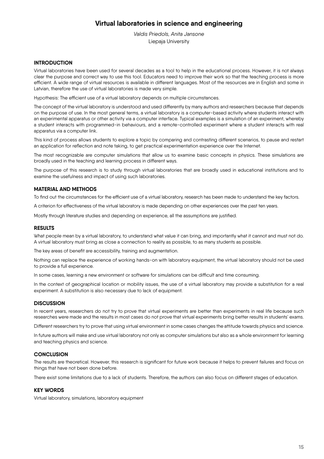# **Virtual laboratories in science and engineering**

*Valdis Priedols, Anita Jansone* Liepaja University

#### **INTRODUCTION**

Virtual laboratories have been used for several decades as a tool to help in the educational process. However, it is not always clear the purpose and correct way to use this tool. Educators need to improve their work so that the teaching process is more efficient. A wide range of virtual resources is available in different languages. Most of the resources are in English and some in Latvian, therefore the use of virtual laboratories is made very simple.

Hypothesis: The efficient use of a virtual laboratory depends on multiple circumstances.

The concept of the virtual laboratory is understood and used differently by many authors and researchers because that depends on the purpose of use. In the most general terms, a virtual laboratory is a computer-based activity where students interact with an experimental apparatus or other activity via a computer interface. Typical examples is a simulation of an experiment, whereby a student interacts with programmed-in behaviours, and a remote-controlled experiment where a student interacts with real apparatus via a computer link.

This kind of process allows students to explore a topic by comparing and contrasting different scenarios, to pause and restart an application for reflection and note taking, to get practical experimentation experience over the Internet.

The most recognizable are computer simulations that allow us to examine basic concepts in physics. These simulations are broadly used in the teaching and learning process in different ways.

The purpose of this research is to study through virtual laboratories that are broadly used in educational institutions and to examine the usefulness and impact of using such laboratories.

#### **MATERIAL AND METHODS**

To find out the circumstances for the efficient use of a virtual laboratory, research has been made to understand the key factors.

A criterion for effectiveness of the virtual laboratory is made depending on other experiences over the past ten years.

Mostly through literature studies and depending on experience, all the assumptions are justified.

#### **RESULTS**

What people mean by a virtual laboratory, to understand what value it can bring, and importantly what it cannot and must not do. A virtual laboratory must bring as close a connection to reality as possible, to as many students as possible.

The key areas of benefit are accessibility, training and augmentation.

Nothing can replace the experience of working hands-on with laboratory equipment, the virtual laboratory should not be used to provide a full experience.

In some cases, learning a new environment or software for simulations can be difficult and time consuming.

In the context of geographical location or mobility issues, the use of a virtual laboratory may provide a substitution for a real experiment. A substitution is also necessary due to lack of equipment.

#### **DISCUSSION**

In recent years, researchers do not try to prove that virtual experiments are better than experiments in real life because such researches were made and the results in most cases do not prove that virtual experiments bring better results in students' exams.

Different researchers try to prove that using virtual environment in some cases changes the attitude towards physics and science.

In future authors will make and use virtual laboratory not only as computer simulations but also as a whole environment for learning and teaching physics and science.

#### **CONCLUSION**

The results are theoretical. However, this research is significant for future work because it helps to prevent failures and focus on things that have not been done before.

There exist some limitations due to a lack of students. Therefore, the authors can also focus on different stages of education.

#### **KEY WORDS**

Virtual laboratory, simulations, laboratory equipment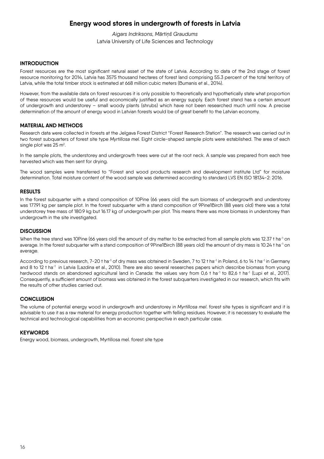# **Energy wood stores in undergrowth of forests in Latvia**

*Aigars Indriksons, Mārtiņš Graudums* Latvia University of Life Sciences and Technology

#### **INTRODUCTION**

Forest resources are the most significant natural asset of the state of Latvia. According to data of the 2nd stage of forest resource monitoring for 2014, Latvia has 3575 thousand hectares of forest land comprising 55.3 percent of the total territory of Latvia, while the total timber stock is estimated at 668 million cubic meters (Bumanis et al., 2014).

However, from the available data on forest resources it is only possible to theoretically and hypothetically state what proportion of these resources would be useful and economically justified as an energy supply. Each forest stand has a certain amount of undergrowth and understorey – small woody plants (shrubs) which have not been researched much until now. A precise determination of the amount of energy wood in Latvian forests would be of great benefit to the Latvian economy.

#### **MATERIAL AND METHODS**

Research data were collected in forests at the Jelgava Forest District "Forest Research Station". The research was carried out in two forest subquarters of forest site type *Myrtillosa mel.* Eight circle-shaped sample plots were established. The area of each single plot was  $25 \text{ m}^2$ .

In the sample plots, the understorey and undergrowth trees were cut at the root neck. A sample was prepared from each tree harvested which was then sent for drying.

The wood samples were transferred to "Forest and wood products research and development institute Ltd" for moisture determination. Total moisture content of the wood sample was determined according to standard LVS EN ISO 18134-2: 2016.

#### **RESULTS**

In the forest subquarter with a stand composition of 10Pine (66 years old) the sum biomass of undergrowth and understorey was 177.91 kg per sample plot. In the forest subquarter with a stand composition of 9Pine1Birch (88 years old) there was a total understorey tree mass of 180.9 kg but 16.17 kg of undergrowth per plot. This means there was more biomass in understorey than undergrowth in the site investigated.

#### **DISCUSSION**

When the tree stand was 10Pine (66 years old) the amount of dry matter to be extracted from all sample plots was 12.37 t ha<sup>-1</sup> on average. In the forest subquarter with a stand composition of 9Pine1Birch (88 years old) the amount of dry mass is 10.24 t ha<sup>-1</sup> on average.

According to previous research, 7-20 t ha<sup>-1</sup> of dry mass was obtained in Sweden, 7 to 12 t ha<sup>-1</sup> in Poland, 6 to 14 t ha<sup>-1</sup> in Germany and 8 to 12 t ha<sup>-1</sup> in Latvia (Lazdina et al., 2010). There are also several researches papers which describe biomass from young hardwood stands on abandoned agricultural land in Canada: the values vary from 0,6 t ha<sup>-1</sup> to 82,6 t ha<sup>-1</sup> (Lupi et al., 2017). Consequently, a sufficient amount of biomass was obtained in the forest subquarters investigated in our research, which fits with the results of other studies carried out.

#### **CONCLUSION**

The volume of potential energy wood in undergrowth and understorey in *Myrtillosa mel*. forest site types is significant and it is advisable to use it as a raw material for energy production together with felling residues. However, it is necessary to evaluate the technical and technological capabilities from an economic perspective in each particular case.

#### **KEYWORDS**

Energy wood, biomass, undergrowth, Myrtillosa mel. forest site type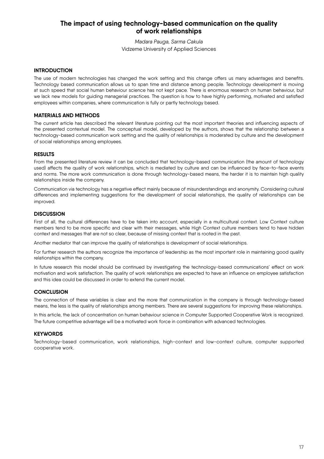### **The impact of using technology-based communication on the quality of work relationships**

*Madara Pauga, Sarma Cakula* Vidzeme University of Applied Sciences

#### **INTRODUCTION**

The use of modern technologies has changed the work setting and this change offers us many advantages and benefits. Technology based communication allows us to span time and distance among people. Technology development is moving at such speed that social human behaviour science has not kept pace. There is enormous research on human behaviour, but we lack new models for guiding managerial practices. The question is how to have highly performing, motivated and satisfied employees within companies, where communication is fully or partly technology based.

#### **MATERIALS AND METHODS**

The current article has described the relevant literature pointing out the most important theories and influencing aspects of the presented contextual model. The conceptual model, developed by the authors, shows that the relationship between a technology-based communication work setting and the quality of relationships is moderated by culture and the development of social relationships among employees.

#### **RESULTS**

From the presented literature review it can be concluded that technology-based communication (the amount of technology used) affects the quality of work relationships, which is mediated by culture and can be influenced by face-to-face events and norms. The more work communication is done through technology-based means, the harder it is to maintain high quality relationships inside the company.

Communication via technology has a negative effect mainly because of misunderstandings and anonymity. Considering cultural differences and implementing suggestions for the development of social relationships, the quality of relationships can be improved.

#### **DISCUSSION**

First of all, the cultural differences have to be taken into account, especially in a multicultural context. Low Context culture members tend to be more specific and clear with their messages, while High Context culture members tend to have hidden context and messages that are not so clear, because of missing context that is rooted in the past.

Another mediator that can improve the quality of relationships is development of social relationships.

For further research the authors recognize the importance of leadership as the most important role in maintaining good quality relationships within the company.

In future research this model should be continued by investigating the technology-based communications' effect on work motivation and work satisfaction. The quality of work relationships are expected to have an influence on employee satisfaction and this idea could be discussed in order to extend the current model.

### **CONCLUSION**

The connection of these variables is clear and the more that communication in the company is through technology-based means, the less is the quality of relationships among members. There are several suggestions for improving these relationships.

In this article, the lack of concentration on human behaviour science in Computer Supported Cooperative Work is recognized. The future competitive advantage will be a motivated work force in combination with advanced technologies.

### **KEYWORDS**

Technology-based communication, work relationships, high-context and low-context culture, computer supported cooperative work.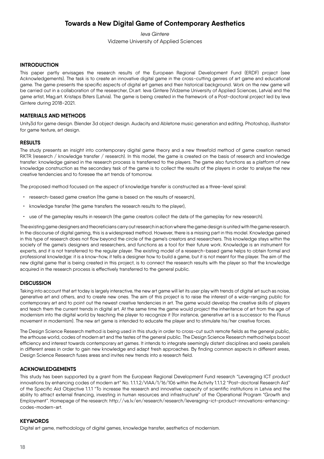# **Towards a New Digital Game of Contemporary Aesthetics**

*Ieva Gintere*

Vidzeme University of Applied Sciences

#### **INTRODUCTION**

This paper partly envisages the research results of the European Regional Development Fund (ERDF) project (see Acknowledgements). The task is to create an innovative digital game in the cross-cutting genres of art game and educational game. The game presents the specific aspects of digital art games and their historical background. Work on the new game will be carried out in a collaboration of the researcher, Dr.art. Ieva Gintere (Vidzeme University of Applied Sciences, Latvia) and the game artist, Mag.art. Kristaps Biters (Latvia). The game is being created in the framework of a Post-doctoral project led by Ieva Gintere during 2018-2021.

#### **MATERIALS AND METHODS**

Unity3d for game design. Blender 3d object design. Audacity and Abletone music generation and editing. Photoshop, illustrator for game texture, art design.

#### **RESULTS**

The study presents an insight into contemporary digital game theory and a new threefold method of game creation named RKTR (research / knowledge transfer / research). In this model, the game is created on the basis of research and knowledge transfer: knowledge gained in the research process is transferred to the players. The game also functions as a platform of new knowledge construction as the secondary task of the game is to collect the results of the players in order to analyse the new creative tendencies and to foresee the art trends of tomorrow.

The proposed method focused on the aspect of knowledge transfer is constructed as a three-level spiral:

- research-based game creation (the game is based on the results of research),
- knowledge transfer (the game transfers the research results to the player),
- use of the gameplay results in research (the game creators collect the data of the gameplay for new research).

The existing game designers and theoreticians carry out research in action where the game design is united with the game research. In the discourse of digital gaming, this is a widespread method. However, there is a missing part in this model. Knowledge gained in this type of research does not flow beyond the circle of the game's creators and researchers. This knowledge stays within the society of the game's designers and researchers, and functions as a tool for their future work. Knowledge is an instrument for experts, and it is not transferred to the regular player. The existing model of a research-based game helps to obtain formal and professional knowledge: it is a know-how, it tells a designer how to build a game, but it is not meant for the player. The aim of the new digital game that is being created in this project, is to connect the research results with the player so that the knowledge acquired in the research process is effectively transferred to the general public.

### **DISCUSSION**

Taking into account that art today is largely interactive, the new art game will let its user play with trends of digital art such as noise, generative art and others, and to create new ones. The aim of this project is to raise the interest of a wide-ranging public for contemporary art and to point out the newest creative tendencies in art. The game would develop the creative skills of players and teach them the current trends in digital art. At the same time the game would project the inheritance of art from the age of modernism into the digital world by teaching the player to recognize it (for instance, generative art is a successor to the Fluxus movement in modernism). The new art game is intended to educate the player and to stimulate his/her creative forces.

The Design Science Research method is being used in this study in order to cross-cut such remote fields as the general public, the arthouse world, codes of modern art and the tastes of the general public. The Design Science Research method helps boost efficiency and interest towards contemporary art games. It intends to integrate seemingly distant disciplines and seeks parallels in different areas in order to gain new knowledge and adapt fresh approaches. By finding common aspects in different areas, Design Science Research fuses areas and invites new trends into a research field.

### **ACKNOWLEDGEMENTS**

This study has been supported by a grant from the European Regional Development Fund research "Leveraging ICT product innovations by enhancing codes of modern art" No. 1.1.1.2/VIAA/1/16/106 within the Activity 1.1.1.2 "Post-doctoral Research Aid" of the Specific Aid Objective 1.1.1 "To increase the research and innovative capacity of scientific institutions in Latvia and the ability to attract external financing, investing in human resources and infrastructure" of the Operational Program "Growth and Employment". Homepage of the research: [http://va.lv/en/research/research/leveraging-ict-product-innovations-enhancing](http://va.lv/en/research/research/leveraging-ict-product-innovations-enhancing-codes-modern-art)[codes-modern-art](http://va.lv/en/research/research/leveraging-ict-product-innovations-enhancing-codes-modern-art).

#### **KEYWORDS**

Digital art game, methodology of digital games, knowledge transfer, aesthetics of modernism.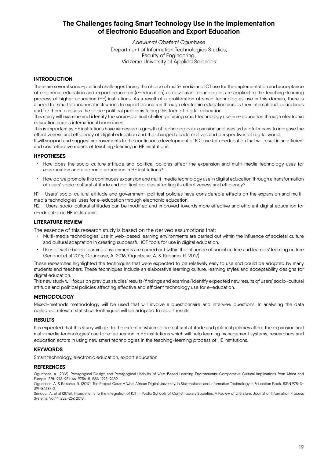# **The Challenges facing Smart Technology Use in the Implementation of Electronic Education and Export Education**

*Adewunmi Obafemi Ogunbase* Department of Information Technologies Studies, Faculty of Engineering, Vidzeme University of Applied Sciences

### **INTRODUCTION**

There are several socio-political challenges facing the choice of multi-media and ICT use for the implementation and acceptance of electronic education and export education (e-education) as new smart technologies are applied to the teaching-learning process of higher education (HE) institutions. As a result of a proliferation of smart technologies use in this domain, there is a need for smart educational institutions to export education through electronic education across their international boundaries and for them to assess the socio-political problems facing this form of digital education.

This study will examine and identify the socio-political challenge facing smart technology use in e-education through electronic education across international boundaries.

This is important as HE institutions have witnessed a growth of technological expansion and uses as helpful means to increase the effectiveness and efficiency of digital education and the changed academic lives and perspectives of digital world.

It will support and suggest improvements to the continuous development of ICT use for e-education that will result in an efficient and cost effective means of teaching-learning in HE institutions.

### **HYPOTHESES**

- How does the socio-culture attitude and political policies affect the expansion and multi-media technology uses for e-education and electronic education in HE institutions?
- How do we promote this continuous expansion and multi-media technology use in digital education through a transformation of users' socio-cultural attitude and political policies affecting its effectiveness and efficiency?

H1 – Users' socio-cultural attitude and government-political policies have considerable effects on the expansion and multimedia technologies' uses for e-education through electronic education.

H2 – Users' socio-cultural attitudes can be modified and improved towards more effective and efficient digital education for e-education in HE institutions.

#### **LITERATURE REVIEW**

The essence of this research study is based on the derived assumptions that:

- Multi-media technologies' use in web-based learning environments are carried out within the influence of societal culture and cultural adaptation in creating successful ICT tools for use in digital education.
- Uses of web-based learning environments are carried out within the influence of social culture and learners' learning culture (Senouci et al 2015; Ogunbase, A. 2016; Ogunbase, A. & Raisamo, R. 2017).

These researches highlighted the techniques that were expected to be relatively easy to use and could be adopted by many students and teachers. These techniques include an elaborative learning culture, learning styles and acceptability designs for digital education.

This new study will focus on previous studies' results/findings and examine/identify expected new results of users' socio-cultural attitude and political policies affecting effective and efficient technology use for e-education.

### **METHODOLOGY**

Mixed-methods methodology will be used that will involve a questionnaire and interview questions. In analysing the data collected, relevant statistical techniques will be adopted to report results.

#### **RESULTS**

It is expected that this study will get to the extent at which socio-cultural attitude and political policies affect the expansion and multi-media technologies' use for e-education in HE institutions which will help learning management systems, researchers and education actors in using new smart technologies in the teaching-learning process of HE institutions.

### **KEYWORDS**

Smart technology, electronic education, export education

#### **REFERENCES**

Ogunbase, A. (2016). Pedagogical Design and Pedagogical Usability of Web-Based Learning Environments: Comparative Cultural Implications from Africa and Europe. ISBN 978-951-44-9756-8, ISSN 1795-9489.

Ogunbase, A. & Raisamo, R. (2017). The Project Case: A West African Digital University. In Stakeholders and Information Technology in Education Book. ISBN 978-3- 319-54687-2.

Senouci, A. et al (2015). Impediments to the Integration of ICT in Public Schools of Contemporary Societies: A Review of Literature. Journal of Information Process Systems, Vol.14, 252~269, 2018.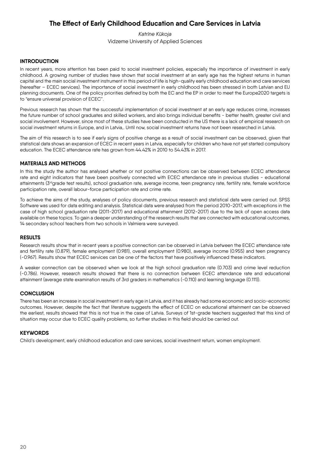# **The Effect of Early Childhood Education and Care Services in Latvia**

*Katrīne Kūkoja*

Vidzeme University of Applied Sciences

#### **INTRODUCTION**

In recent years, more attention has been paid to social investment policies, especially the importance of investment in early childhood. A growing number of studies have shown that social investment at an early age has the highest returns in human capital and the main social investment instrument in this period of life is high-quality early childhood education and care services (hereafter – ECEC services). The importance of social investment in early childhood has been stressed in both Latvian and EU planning documents. One of the policy priorities defined by both the EC and the EP in order to meet the Europe2020 targets is to "ensure universal provision of ECEC".

Previous research has shown that the successful implementation of social investment at an early age reduces crime, increases the future number of school graduates and skilled workers, and also brings individual benefits - better health, greater civil and social involvement. However, since most of these studies have been conducted in the US there is a lack of empirical research on social investment returns in Europe, and in Latvia,. Until now, social investment returns have not been researched in Latvia.

The aim of this research is to see if early signs of positive change as a result of social investment can be observed, given that statistical data shows an expansion of ECEC in recent years in Latvia, especially for children who have not yet started compulsory education. The ECEC attendance rate has grown from 44.42% in 2010 to 54.43% in 2017.

### **MATERIALS AND METHODS**

In this the study the author has analysed whether or not positive connections can be observed between ECEC attendance rate and eight indicators that have been positively connected with ECEC attendance rate in previous studies - educational attainments (3<sup>rd</sup>grade test results), school graduation rate, average income, teen pregnancy rate, fertility rate, female workforce participation rate, overall labour-force participation rate and crime rate.

To achieve the aims of the study, analyses of policy documents, previous research and statistical data were carried out. SPSS Software was used for data editing and analysis. Statistical data were analysed from the period 2010-2017, with exceptions in the case of high school graduation rate (2011-2017) and educational attainment (2012-2017) due to the lack of open access data available on these topics. To gain a deeper understanding of the research results that are connected with educational outcomes, 14 secondary school teachers from two schools in Valmiera were surveyed.

#### **RESULTS**

Research results show that in recent years a positive connection can be observed in Latvia between the ECEC attendance rate and fertility rate (0.879), female employment (0.981), overall employment (0.980), average income (0.955) and teen pregnancy (-0.967). Results show that ECEC services can be one of the factors that have positively influenced these indicators.

A weaker connection can be observed when we look at the high school graduation rate (0.703) and crime level reduction (-0.786). However, research results showed that there is no connection between ECEC attendance rate and educational attainment (average state examination results of 3rd graders in mathematics (-0.110) and learning language (0.111)).

#### **CONCLUSION**

There has been an increase in social investment in early age in Latvia, and it has already had some economic and socio-economic outcomes. However, despite the fact that literature suggests the effect of ECEC on educational attainment can be observed the earliest, results showed that this is not true in the case of Latvia. Surveys of 1st-grade teachers suggested that this kind of situation may occur due to ECEC quality problems, so further studies in this field should be carried out.

#### **KEYWORDS**

Child's development, early childhood education and care services, social investment return, women employment.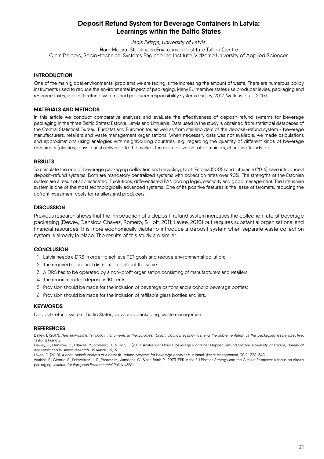# **Deposit Refund System for Beverage Containers in Latvia: Learnings within the Baltic States**

*Janis Brizga, University of Latvia,* 

Harri Moora, Stockholm Environment Institute Tallinn Centre

Ojars Balcers, Socio-technical Systems Engineering Institute, Vidzeme University of Applied Sciences

### **INTRODUCTION**

One of the main global environmental problems we are facing is the increasing the amount of waste. There are numerous policy instruments used to reduce the environmental impact of packaging. Many EU member states use producer levies, packaging and resource taxes, deposit-refund systems and producer responsibility systems (Bailey, 2017; Watkins et al., 2017).

### **MATERIALS AND METHODS**

In this article we conduct comparative analyses and evaluate the effectiveness of deposit-refund systems for beverage packaging in the three Baltic States: Estonia, Latvia and Lithuania. Data used in the study is obtained from statistical databases of the Central Statistical Bureau, Eurostat and Euromonitor, as well as from stakeholders of the deposit-refund system - beverage manufacturers, retailers and waste management organisations. When necessary data was not available, we made calculations and approximations using analogies with neighbouring countries, e.g. regarding the quantity of different kinds of beverage containers (plastics, glass, cans) delivered to the market, the average weight of containers, changing trends etc.

#### **RESULTS**

To stimulate the rate of beverage packaging collection and recycling, both Estonia (2005) and Lithuania (2016) have introduced deposit-refund systems. Both are mandatory centralized systems with collection rates over 90%. The strengths of the Estonian system are a result of sophisticated IT solutions, differentiated EAN coding logic, elasticity and good management. The Lithuanian system is one of the most technologically advanced systems. One of its positive features is the lease of taromats, reducing the upfront investment costs for retailers and producers.

#### **DISCUSSION**

Previous research shows that the introduction of a deposit-refund system increases the collection rate of beverage packaging (Dewey, Denslow, Chavez, Romero, & Holt, 2011; Lavee, 2010) but requires substantial organisational and financial resources. It is more economically viable to introduce a deposit system when separate waste collection system is already in place. The results of this study are similar.

#### **CONCLUSION**

- 1. Latvia needs a DRS in order to achieve PET goals and reduce environmental pollution;
- 2. The required score and distribution is about the same
- 3. A DRS has to be operated by a non-profit organisation consisting of manufacturers and retailers;
- 4. The recommended deposit is 10 cents;
- 5. Provision should be made for the inclusion of beverage cartons and alcoholic beverage bottles;
- 6. Provision should be made for the inclusion of refillable glass bottles and jars.

#### **KEYWORDS**

Deposit-refund system, Baltic States, beverage packaging, waste management

#### **REFERENCES**

Bailey, I. (2017). *New environmental policy instruments in the European Union: politics, economics, and the implementation of the packaging waste directive*: Taylor & Francis.

Dewey, J., Denslow, D., Chavez, B., Romero, H., & Holt, L. (2011). Analysis of Florida Beverage Container Deposit Refund System. *University of Florida, Bureau of economic and business research.-15 March., 19*, 19.

Lavee, D. (2010). A cost-benefit analysis of a deposit–refund program for beverage containers in Israel. *Waste management, 30*(2), 338-345.

Watkins, E., Gionfra, S., Schweitzer, J.-P., Pantzar, M., Janssens, C., & ten Brink, P. (2017). EPR in the EU Plastics Strategy and the Circular Economy: A focus on plastic packaging. *Institute for European Environmental Policy (IEEP)*.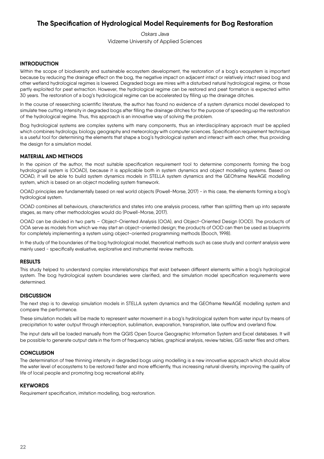# **The Specification of Hydrological Model Requirements for Bog Restoration**

*Oskars Java*

Vidzeme University of Applied Sciences

#### **INTRODUCTION**

Within the scope of biodiversity and sustainable ecosystem development, the restoration of a bog's ecosystem is important because by reducing the drainage effect on the bog, the negative impact on adjacent intact or relatively intact raised bog and other wetland hydrological regimes is lowered. Degraded bogs are mires with a disturbed natural hydrological regime, or those partly exploited for peat extraction. However, the hydrological regime can be restored and peat formation is expected within 30 years. The restoration of a bog's hydrological regime can be accelerated by filling up the drainage ditches.

In the course of researching scientific literature, the author has found no evidence of a system dynamics model developed to simulate tree cutting intensity in degraded bogs after filling the drainage ditches for the purpose of speeding up the restoration of the hydrological regime. Thus, this approach is an innovative way of solving the problem.

Bog hydrological systems are complex systems with many components, thus an interdisciplinary approach must be applied which combines hydrology, biology, geography and meteorology with computer sciences. Specification requirement technique is a useful tool for determining the elements that shape a bog's hydrological system and interact with each other, thus providing the design for a simulation model.

#### **MATERIAL AND METHODS**

In the opinion of the author, the most suitable specification requirement tool to determine components forming the bog hydrological system is (OOAD), because it is applicable both in system dynamics and object modelling systems. Based on OOAD, it will be able to build system dynamics models in STELLA system dynamics and the GEOframe NewAGE modelling system, which is based on an object modelling system framework.

OOAD principles are fundamentally based on real world objects (Powell-Morse, 2017) - in this case, the elements forming a bog's hydrological system.

OOAD combines all behaviours, characteristics and states into one analysis process, rather than splitting them up into separate stages, as many other methodologies would do (Powell-Morse, 2017).

OOAD can be divided in two parts – Object-Oriented Analysis (OOA), and Object-Oriented Design (OOD). The products of OOA serve as models from which we may start an object-oriented design; the products of OOD can then be used as blueprints for completely implementing a system using object-oriented programming methods (Booch, 1998).

In the study of the boundaries of the bog hydrological model, theoretical methods such as case study and content analysis were mainly used - specifically evaluative, explorative and instrumental review methods.

#### **RESULTS**

This study helped to understand complex interrelationships that exist between different elements within a bog's hydrological system. The bog hydrological system boundaries were clarified, and the simulation model specification requirements were determined.

#### **DISCUSSION**

The next step is to develop simulation models in STELLA system dynamics and the GEOframe NewAGE modelling system and compare the performance.

These simulation models will be made to represent water movement in a bog's hydrological system from water input by means of precipitation to water output through interception, sublimation, evaporation, transpiration, lake outflow and overland flow.

The input data will be loaded manually from the QGIS Open Source Geographic Information System and Excel databases. It will be possible to generate output data in the form of frequency tables, graphical analysis, review tables, GIS raster files and others.

#### **CONCLUSION**

The determination of tree thinning intensity in degraded bogs using modelling is a new innovative approach which should allow the water level of ecosystems to be restored faster and more efficiently, thus increasing natural diversity, improving the quality of life of local people and promoting bog recreational ability.

#### **KEYWORDS**

Requirement specification, imitation modelling, bog restoration.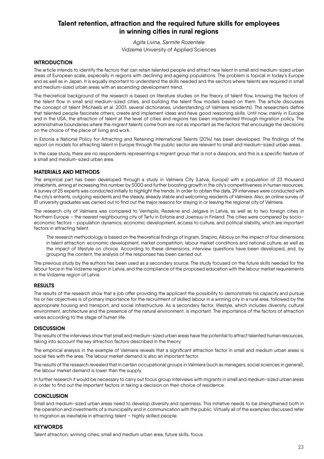# **Talent retention, attraction and the required future skills for employees in winning cities in rural regions**

*Agita Livina, Sarmite Rozentale* Vidzeme University of Applied Sciences

#### **INTRODUCTION**

The article intends to identify the factors that can retain talented people and attract new talent in small and medium-sized urban areas of European scale, especially in regions with declining and ageing populations. The problem is topical in today's Europe and as well as in Japan. It is equally important to understand the skills needed and the sectors where talents are required in small and medium-sized urban areas with an ascending development trend.

The theoretical background of the research is based on literature studies on the theory of talent flow, knowing the factors of the talent flow in small and medium-sized cities, and building the talent flow models based on them. The article discusses the concept of talent (Michaels et al. 2001, several dictionaries, understanding of Valmiera residents). The researchers define that talented people fascinate others, create and implement ideas and have good reasoning skills. Until now, mainly in Europe and in the USA, the attraction of talent at the level of cities and regions has been implemented through migration policy. The administrative boundaries where the migrant talents come from are not as important as the factors that encourage the decisions on the choice of the place of living and work.

In Estonia a National Policy for Attracting and Retaining International Talents (2014) has been developed. The findings of the report on models for attracting talent in Europe through the public sector are relevant to small and medium-sized urban areas.

In the case study, there are no respondents representing a migrant group that is not a diaspora, and this is a specific feature of a small and medium-sized urban area.

#### **MATERIALS AND METHODS**

The empirical part has been developed through a study in Valmiera City (Latvia, Europe) with a population of 23 thousand inhabitants, aiming at increasing this number by 5000 and further boosting growth in the city's competitiveness in human resources. A survey of 25 experts was conducted initially to highlight the trends. In order to obtain the data, 29 interviews were conducted with the city's entrants, outgoing residents and the steady, already stable and welcoming residents of Valmiera. Also, an online survey of 81 university graduates was carried out to find out the major reasons for staying in or leaving the regional city of Valmiera.

The research city of Valmiera was compared to Ventspils, Rezekne and Jelgava in Latvia, as well as to two foreign cities in Northern Europe – the nearest neighbouring city of Tartu in Estonia and Joensuu in Finland. The cities were compared by socioeconomic factors - population dynamics, economic development, access to culture, and political stability, which are important factors in attracting talent.

The research methodology is based on the theoretical findings of Ingram, Shapiro, Albouy on the impact of four dimensions in talent attraction: economic development, market competition, labour market conditions and national culture, as well as the impact of lifestyle on choice. According to these dimensions, interview questions have been developed, and, by grouping the content, the analysis of the responses has been carried out.

The previous study by the authors has been used as a secondary source. The study focused on the future skills needed for the labour force in the Vidzeme region in Latvia, and the compliance of the proposed education with the labour market requirements in the Vidzeme region of Latvia.

#### **RESULTS**

The results of the research show that a job offer providing the applicant the possibility to demonstrate his capacity and pursue his or her objectives is of primary importance for the recruitment of skilled labour in a winning city in a rural area, followed by the appropriate housing and transport, and social infrastructure. As a secondary factor, lifestyle, which includes diversity, cultural environment, architecture and the presence of the natural environment, is important. The importance of the factors of attraction varies according to the stage of human life.

#### **DISCUSSION**

The results of the interviews show that small and medium-sized urban areas have the potential to attract talented human resources, taking into account the key attraction factors described in the theory.

The empirical analysis in the example of Valmiera reveals that a significant attraction factor in small and medium urban areas is social ties with the area. The labour market demand is also an important factor.

The results of the research revealed that in certain occupational groups in Valmiera (such as managers, social sciences in general), the labour market demand is lower than the supply.

In further research it would be necessary to carry out focus group interviews with migrants in small and medium-sized urban areas in order to find out the important factors in taking a decision on their choice of residence.

#### **CONCLUSION**

Small and medium-sized urban areas need to develop diversity and openness. This initiative needs to be strengthened both in the operation and investments of a municipality and in communication with the public. Virtually all of the examples discussed refer to migration as inevitable in attracting talent – highly skilled people.

#### **KEYWORDS**

Talent attraction, winning cities, small and medium urban area, future skills, focus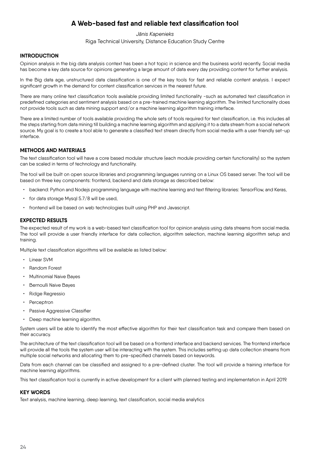# **A Web-based fast and reliable text classification tool**

*Jānis Kapenieks*

Riga Technical University, Distance Education Study Centre

#### **INTRODUCTION**

Opinion analysis in the big data analysis context has been a hot topic in science and the business world recently. Social media has become a key data source for opinions generating a large amount of data every day providing content for further analysis.

In the Big data age, unstructured data classification is one of the key tools for fast and reliable content analysis. I expect significant growth in the demand for content classification services in the nearest future.

There are many online text classification tools available providing limited functionality -such as automated text classification in predefined categories and sentiment analysis based on a pre-trained machine learning algorithm. The limited functionality does not provide tools such as data mining support and/or a machine learning algorithm training interface.

There are a limited number of tools available providing the whole sets of tools required for text classification, i.e. this includes all the steps starting from data mining till building a machine learning algorithm and applying it to a data stream from a social network source. My goal is to create a tool able to generate a classified text stream directly from social media with a user friendly set-up interface.

#### **METHODS AND MATERIALS**

The text classification tool will have a core based modular structure (each module providing certain functionality) so the system can be scaled in terms of technology and functionality.

The tool will be built on open source libraries and programming languages running on a Linux OS based server. The tool will be based on three key components: frontend, backend and data storage as described below:

- backend: Python and Nodejs programming language with machine learning and text filtering libraries: TensorFlow, and Keras,
- for data storage Mysql 5.7/8 will be used,
- frontend will be based on web technologies built using PHP and Javascript.

#### **EXPECTED RESULTS**

The expected result of my work is a web-based text classification tool for opinion analysis using data streams from social media. The tool will provide a user friendly interface for data collection, algorithm selection, machine learning algorithm setup and training.

Multiple text classification algorithms will be available as listed below:

- Linear SVM
- Random Forest
- Multinomial Naive Bayes
- Bernoulli Naive Bayes
- Ridge Regressio
- **Perceptron**
- Passive Aggressive Classifier
- Deep machine learning algorithm.

System users will be able to identify the most effective algorithm for their text classification task and compare them based on their accuracy.

The architecture of the text classification tool will be based on a frontend interface and backend services. The frontend interface will provide all the tools the system user will be interacting with the system. This includes setting up data collection streams from multiple social networks and allocating them to pre-specified channels based on keywords.

Data from each channel can be classified and assigned to a pre-defined cluster. The tool will provide a training interface for machine learning algorithms.

This text classification tool is currently in active development for a client with planned testing and implementation in April 2019.

#### **KEY WORDS**

Text analysis, machine learning, deep learning, text classification, social media analytics